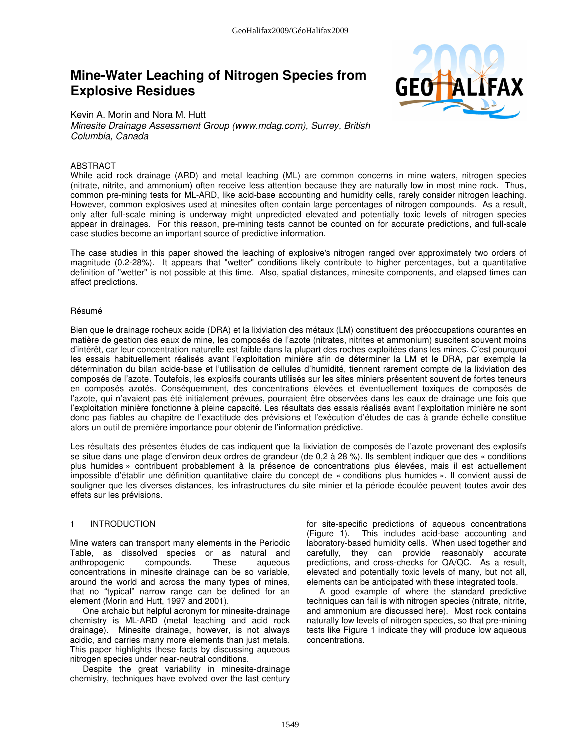# **Mine-Water Leaching of Nitrogen Species from Explosive Residues**



Kevin A. Morin and Nora M. Hutt Minesite Drainage Assessment Group (www.mdag.com), Surrey, British Columbia, Canada

## ABSTRACT

While acid rock drainage (ARD) and metal leaching (ML) are common concerns in mine waters, nitrogen species (nitrate, nitrite, and ammonium) often receive less attention because they are naturally low in most mine rock. Thus, common pre-mining tests for ML-ARD, like acid-base accounting and humidity cells, rarely consider nitrogen leaching. However, common explosives used at minesites often contain large percentages of nitrogen compounds. As a result, only after full-scale mining is underway might unpredicted elevated and potentially toxic levels of nitrogen species appear in drainages. For this reason, pre-mining tests cannot be counted on for accurate predictions, and full-scale case studies become an important source of predictive information.

The case studies in this paper showed the leaching of explosive's nitrogen ranged over approximately two orders of magnitude (0.2-28%). It appears that "wetter" conditions likely contribute to higher percentages, but a quantitative definition of "wetter" is not possible at this time. Also, spatial distances, minesite components, and elapsed times can affect predictions.

#### Résumé

Bien que le drainage rocheux acide (DRA) et la lixiviation des métaux (LM) constituent des préoccupations courantes en matière de gestion des eaux de mine, les composés de l'azote (nitrates, nitrites et ammonium) suscitent souvent moins d'intérêt, car leur concentration naturelle est faible dans la plupart des roches exploitées dans les mines. C'est pourquoi les essais habituellement réalisés avant l'exploitation minière afin de déterminer la LM et le DRA, par exemple la détermination du bilan acide-base et l'utilisation de cellules d'humidité, tiennent rarement compte de la lixiviation des composés de l'azote. Toutefois, les explosifs courants utilisés sur les sites miniers présentent souvent de fortes teneurs en composés azotés. Conséquemment, des concentrations élevées et éventuellement toxiques de composés de l'azote, qui n'avaient pas été initialement prévues, pourraient être observées dans les eaux de drainage une fois que l'exploitation minière fonctionne à pleine capacité. Les résultats des essais réalisés avant l'exploitation minière ne sont donc pas fiables au chapitre de l'exactitude des prévisions et l'exécution d'études de cas à grande échelle constitue alors un outil de première importance pour obtenir de l'information prédictive.

Les résultats des présentes études de cas indiquent que la lixiviation de composés de l'azote provenant des explosifs se situe dans une plage d'environ deux ordres de grandeur (de 0,2 à 28 %). Ils semblent indiquer que des « conditions plus humides » contribuent probablement à la présence de concentrations plus élevées, mais il est actuellement impossible d'établir une définition quantitative claire du concept de « conditions plus humides ». Il convient aussi de souligner que les diverses distances, les infrastructures du site minier et la période écoulée peuvent toutes avoir des effets sur les prévisions.

#### 1 INTRODUCTION

Mine waters can transport many elements in the Periodic Table, as dissolved species or as natural and anthropogenic compounds. These aqueous concentrations in minesite drainage can be so variable, around the world and across the many types of mines, that no "typical" narrow range can be defined for an element (Morin and Hutt, 1997 and 2001).

One archaic but helpful acronym for minesite-drainage chemistry is ML-ARD (metal leaching and acid rock drainage). Minesite drainage, however, is not always acidic, and carries many more elements than just metals. This paper highlights these facts by discussing aqueous nitrogen species under near-neutral conditions.

Despite the great variability in minesite-drainage chemistry, techniques have evolved over the last century for site-specific predictions of aqueous concentrations (Figure 1). This includes acid-base accounting and laboratory-based humidity cells. When used together and carefully, they can provide reasonably accurate predictions, and cross-checks for QA/QC. As a result, elevated and potentially toxic levels of many, but not all, elements can be anticipated with these integrated tools.

A good example of where the standard predictive techniques can fail is with nitrogen species (nitrate, nitrite, and ammonium are discussed here). Most rock contains naturally low levels of nitrogen species, so that pre-mining tests like Figure 1 indicate they will produce low aqueous concentrations.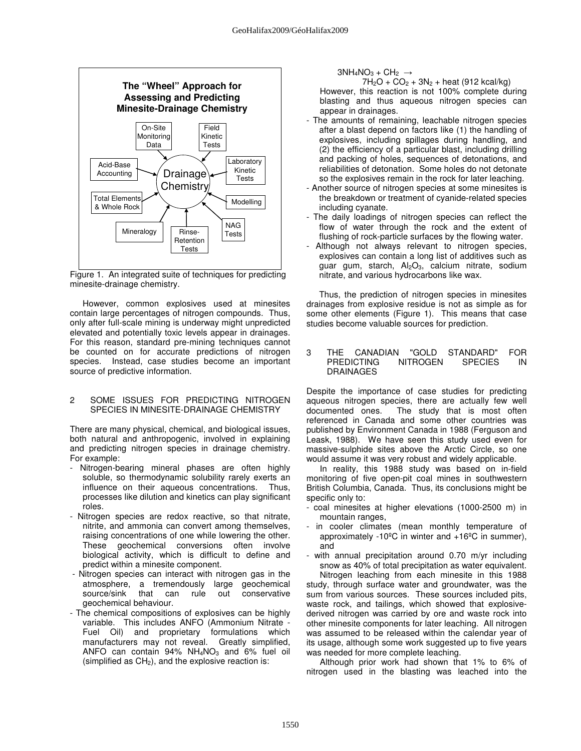

Figure 1. An integrated suite of techniques for predicting minesite-drainage chemistry.

However, common explosives used at minesites contain large percentages of nitrogen compounds. Thus, only after full-scale mining is underway might unpredicted elevated and potentially toxic levels appear in drainages. For this reason, standard pre-mining techniques cannot be counted on for accurate predictions of nitrogen species. Instead, case studies become an important source of predictive information.

## 2 SOME ISSUES FOR PREDICTING NITROGEN SPECIES IN MINESITE-DRAINAGE CHEMISTRY

There are many physical, chemical, and biological issues, both natural and anthropogenic, involved in explaining and predicting nitrogen species in drainage chemistry. For example:

- Nitrogen-bearing mineral phases are often highly soluble, so thermodynamic solubility rarely exerts an influence on their aqueous concentrations. Thus, processes like dilution and kinetics can play significant roles.
- Nitrogen species are redox reactive, so that nitrate, nitrite, and ammonia can convert among themselves, raising concentrations of one while lowering the other. These geochemical conversions often involve biological activity, which is difficult to define and predict within a minesite component.
- Nitrogen species can interact with nitrogen gas in the atmosphere, a tremendously large geochemical conservative geochemical behaviour.
- The chemical compositions of explosives can be highly variable. This includes ANFO (Ammonium Nitrate - Fuel Oil) and proprietary formulations which manufacturers may not reveal. Greatly simplified, ANFO can contain  $94\%$  NH<sub>4</sub>NO<sub>3</sub> and 6% fuel oil (simplified as  $CH<sub>2</sub>$ ), and the explosive reaction is:

 $3NH_4NO_3 + CH_2 \rightarrow$ 

 $7H_2O + CO_2 + 3N_2 + heat$  (912 kcal/kg) However, this reaction is not 100% complete during blasting and thus aqueous nitrogen species can appear in drainages.

- The amounts of remaining, leachable nitrogen species after a blast depend on factors like (1) the handling of explosives, including spillages during handling, and (2) the efficiency of a particular blast, including drilling and packing of holes, sequences of detonations, and reliabilities of detonation. Some holes do not detonate so the explosives remain in the rock for later leaching.
- Another source of nitrogen species at some minesites is the breakdown or treatment of cyanide-related species including cyanate.
- The daily loadings of nitrogen species can reflect the flow of water through the rock and the extent of flushing of rock-particle surfaces by the flowing water.
- Although not always relevant to nitrogen species, explosives can contain a long list of additives such as guar gum, starch, Al<sub>2</sub>O<sub>3</sub>, calcium nitrate, sodium nitrate, and various hydrocarbons like wax.

Thus, the prediction of nitrogen species in minesites drainages from explosive residue is not as simple as for some other elements (Figure 1). This means that case studies become valuable sources for prediction.

#### 3 THE CANADIAN "GOLD STANDARD" FOR PREDICTING NITROGEN SPECIES IN DRAINAGES

Despite the importance of case studies for predicting aqueous nitrogen species, there are actually few well documented ones. The study that is most often referenced in Canada and some other countries was published by Environment Canada in 1988 (Ferguson and Leask, 1988). We have seen this study used even for massive-sulphide sites above the Arctic Circle, so one would assume it was very robust and widely applicable.

In reality, this 1988 study was based on in-field monitoring of five open-pit coal mines in southwestern British Columbia, Canada. Thus, its conclusions might be specific only to:

- coal minesites at higher elevations (1000-2500 m) in mountain ranges,
- in cooler climates (mean monthly temperature of approximately -10ºC in winter and +16ºC in summer), and
- with annual precipitation around 0.70 m/yr including snow as 40% of total precipitation as water equivalent. Nitrogen leaching from each minesite in this 1988

study, through surface water and groundwater, was the sum from various sources. These sources included pits, waste rock, and tailings, which showed that explosivederived nitrogen was carried by ore and waste rock into other minesite components for later leaching. All nitrogen was assumed to be released within the calendar year of its usage, although some work suggested up to five years was needed for more complete leaching.

Although prior work had shown that 1% to 6% of nitrogen used in the blasting was leached into the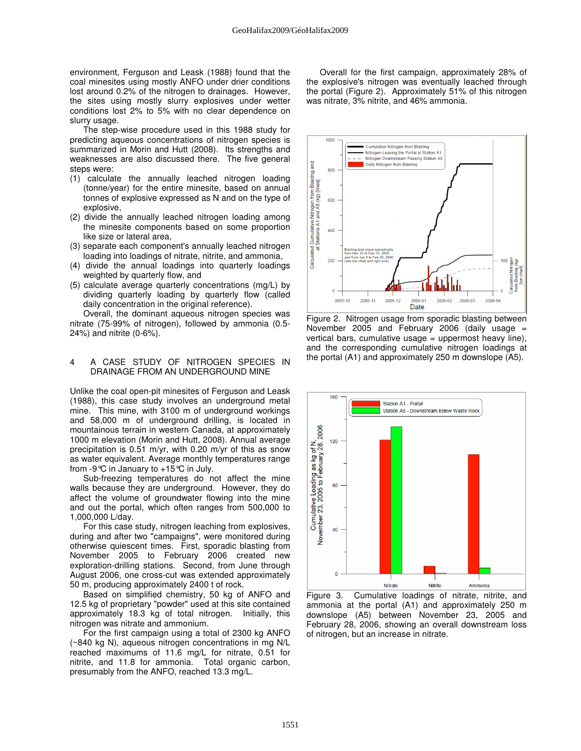environment, Ferguson and Leask (1988) found that the coal minesites using mostly ANFO under drier conditions lost around 0.2% of the nitrogen to drainages. However, the sites using mostly slurry explosives under wetter conditions lost 2% to 5% with no clear dependence on slurry usage.

The step-wise procedure used in this 1988 study for predicting aqueous concentrations of nitrogen species is summarized in Morin and Hutt (2008). Its strengths and weaknesses are also discussed there. The five general steps were:

- (1) calculate the annually leached nitrogen loading (tonne/year) for the entire minesite, based on annual tonnes of explosive expressed as N and on the type of explosive,
- (2) divide the annually leached nitrogen loading among the minesite components based on some proportion like size or lateral area,
- (3) separate each component's annually leached nitrogen loading into loadings of nitrate, nitrite, and ammonia,
- (4) divide the annual loadings into quarterly loadings weighted by quarterly flow, and
- (5) calculate average quarterly concentrations (mg/L) by dividing quarterly loading by quarterly flow (called daily concentration in the original reference).

Overall, the dominant aqueous nitrogen species was nitrate (75-99% of nitrogen), followed by ammonia (0.5- 24%) and nitrite (0-6%).

#### 4 A CASE STUDY OF NITROGEN SPECIES IN DRAINAGE FROM AN UNDERGROUND MINE

Unlike the coal open-pit minesites of Ferguson and Leask (1988), this case study involves an underground metal mine. This mine, with 3100 m of underground workings and 58,000 m of underground drilling, is located in mountainous terrain in western Canada, at approximately 1000 m elevation (Morin and Hutt, 2008). Annual average precipitation is 0.51 m/yr, with 0.20 m/yr of this as snow as water equivalent. Average monthly temperatures range from -9°C in January to +15°C in July.

Sub-freezing temperatures do not affect the mine walls because they are underground. However, they do affect the volume of groundwater flowing into the mine and out the portal, which often ranges from 500,000 to 1,000,000 L/day.

For this case study, nitrogen leaching from explosives, during and after two "campaigns", were monitored during otherwise quiescent times. First, sporadic blasting from November 2005 to February 2006 created new exploration-drilling stations. Second, from June through August 2006, one cross-cut was extended approximately 50 m, producing approximately 2400 t of rock.

Based on simplified chemistry, 50 kg of ANFO and 12.5 kg of proprietary "powder" used at this site contained approximately 18.3 kg of total nitrogen. Initially, this nitrogen was nitrate and ammonium.

For the first campaign using a total of 2300 kg ANFO (~840 kg N), aqueous nitrogen concentrations in mg N/L reached maximums of 11.6 mg/L for nitrate, 0.51 for nitrite, and 11.8 for ammonia. Total organic carbon, presumably from the ANFO, reached 13.3 mg/L.

Overall for the first campaign, approximately 28% of the explosive's nitrogen was eventually leached through the portal (Figure 2). Approximately 51% of this nitrogen was nitrate, 3% nitrite, and 46% ammonia.



Figure 2. Nitrogen usage from sporadic blasting between November 2005 and February 2006 (daily usage = vertical bars, cumulative usage = uppermost heavy line), and the corresponding cumulative nitrogen loadings at the portal (A1) and approximately 250 m downslope (A5).



Figure 3. Cumulative loadings of nitrate, nitrite, and ammonia at the portal (A1) and approximately 250 m downslope (A5) between November 23, 2005 and February 28, 2006, showing an overall downstream loss of nitrogen, but an increase in nitrate.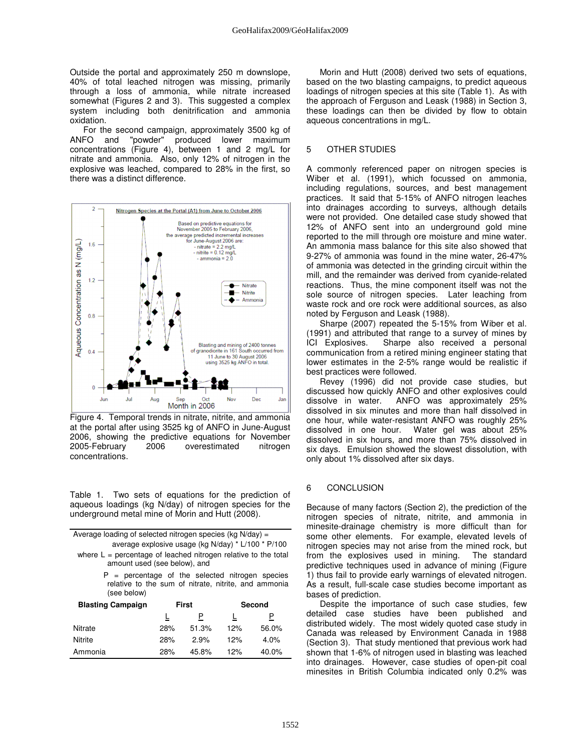Outside the portal and approximately 250 m downslope, 40% of total leached nitrogen was missing, primarily through a loss of ammonia, while nitrate increased somewhat (Figures 2 and 3). This suggested a complex system including both denitrification and ammonia oxidation.

For the second campaign, approximately 3500 kg of ANFO and "powder" produced lower maximum concentrations (Figure 4), between 1 and 2 mg/L for nitrate and ammonia. Also, only 12% of nitrogen in the explosive was leached, compared to 28% in the first, so there was a distinct difference.



Figure 4. Temporal trends in nitrate, nitrite, and ammonia at the portal after using 3525 kg of ANFO in June-August 2006, showing the predictive equations for November 2005-February 2006 overestimated nitrogen concentrations.

Table 1. Two sets of equations for the prediction of aqueous loadings (kg N/day) of nitrogen species for the underground metal mine of Morin and Hutt (2008).

| Average loading of selected nitrogen species (kg N/day) =                                                                |       |       |        |          |
|--------------------------------------------------------------------------------------------------------------------------|-------|-------|--------|----------|
| average explosive usage (kg N/day) * L/100 * P/100                                                                       |       |       |        |          |
| where $L =$ percentage of leached nitrogen relative to the total<br>amount used (see below), and                         |       |       |        |          |
| $P =$ percentage of the selected nitrogen species<br>relative to the sum of nitrate, nitrite, and ammonia<br>(see below) |       |       |        |          |
| <b>Blasting Campaign</b>                                                                                                 | First |       | Second |          |
|                                                                                                                          |       | Ρ     |        | Р        |
| Nitrate                                                                                                                  | 28%   | 51.3% | 12%    | 56.0%    |
| Nitrite                                                                                                                  | 28%   | 2.9%  | 12%    | 4.0%     |
| Ammonia                                                                                                                  | 28%   | 45.8% | 12%    | $40.0\%$ |

Morin and Hutt (2008) derived two sets of equations, based on the two blasting campaigns, to predict aqueous loadings of nitrogen species at this site (Table 1). As with the approach of Ferguson and Leask (1988) in Section 3, these loadings can then be divided by flow to obtain aqueous concentrations in mg/L.

## 5 OTHER STUDIES

A commonly referenced paper on nitrogen species is Wiber et al. (1991), which focussed on ammonia, including regulations, sources, and best management practices. It said that 5-15% of ANFO nitrogen leaches into drainages according to surveys, although details were not provided. One detailed case study showed that 12% of ANFO sent into an underground gold mine reported to the mill through ore moisture and mine water. An ammonia mass balance for this site also showed that 9-27% of ammonia was found in the mine water, 26-47% of ammonia was detected in the grinding circuit within the mill, and the remainder was derived from cyanide-related reactions. Thus, the mine component itself was not the sole source of nitrogen species. Later leaching from waste rock and ore rock were additional sources, as also noted by Ferguson and Leask (1988).

Sharpe (2007) repeated the 5-15% from Wiber et al. (1991) and attributed that range to a survey of mines by ICI Explosives. Sharpe also received a personal communication from a retired mining engineer stating that lower estimates in the 2-5% range would be realistic if best practices were followed.

Revey (1996) did not provide case studies, but discussed how quickly ANFO and other explosives could<br>dissolve in water. ANFO was approximately 25% ANFO was approximately 25% dissolved in six minutes and more than half dissolved in one hour, while water-resistant ANFO was roughly 25% dissolved in one hour. Water gel was about 25% dissolved in six hours, and more than 75% dissolved in six days. Emulsion showed the slowest dissolution, with only about 1% dissolved after six days.

## 6 CONCLUSION

Because of many factors (Section 2), the prediction of the nitrogen species of nitrate, nitrite, and ammonia in minesite-drainage chemistry is more difficult than for some other elements. For example, elevated levels of nitrogen species may not arise from the mined rock, but from the explosives used in mining. The standard predictive techniques used in advance of mining (Figure 1) thus fail to provide early warnings of elevated nitrogen. As a result, full-scale case studies become important as bases of prediction.

Despite the importance of such case studies, few detailed case studies have been published and distributed widely. The most widely quoted case study in Canada was released by Environment Canada in 1988 (Section 3). That study mentioned that previous work had shown that 1-6% of nitrogen used in blasting was leached into drainages. However, case studies of open-pit coal minesites in British Columbia indicated only 0.2% was